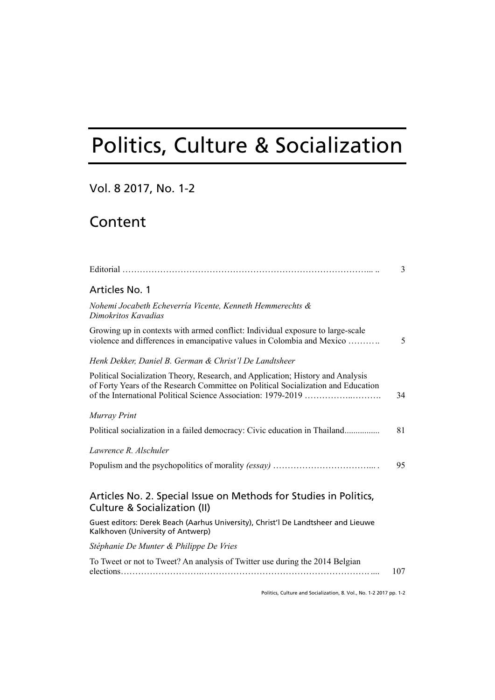# Politics, Culture & Socialization

### Vol. 8 2017, No. 1-2

## Content

|                                                                                                                                                                      | 3   |
|----------------------------------------------------------------------------------------------------------------------------------------------------------------------|-----|
| Articles No. 1                                                                                                                                                       |     |
| Nohemi Jocabeth Echeverría Vicente, Kenneth Hemmerechts &<br>Dimokritos Kavadias                                                                                     |     |
| Growing up in contexts with armed conflict: Individual exposure to large-scale<br>violence and differences in emancipative values in Colombia and Mexico             | 5   |
| Henk Dekker, Daniel B. German & Christ'l De Landtsheer                                                                                                               |     |
| Political Socialization Theory, Research, and Application; History and Analysis<br>of Forty Years of the Research Committee on Political Socialization and Education | 34  |
| Murray Print                                                                                                                                                         |     |
| Political socialization in a failed democracy: Civic education in Thailand                                                                                           | 81  |
| Lawrence R. Alschuler                                                                                                                                                |     |
|                                                                                                                                                                      | 95  |
| Articles No. 2. Special Issue on Methods for Studies in Politics,<br>Culture & Socialization (II)                                                                    |     |
| Guest editors: Derek Beach (Aarhus University), Christ'l De Landtsheer and Lieuwe<br>Kalkhoven (University of Antwerp)                                               |     |
| Stéphanie De Munter & Philippe De Vries                                                                                                                              |     |
| To Tweet or not to Tweet? An analysis of Twitter use during the 2014 Belgian                                                                                         | 107 |

Politics, Culture and Socialization, 8. Vol., No. 1-2 2017 pp. 1-2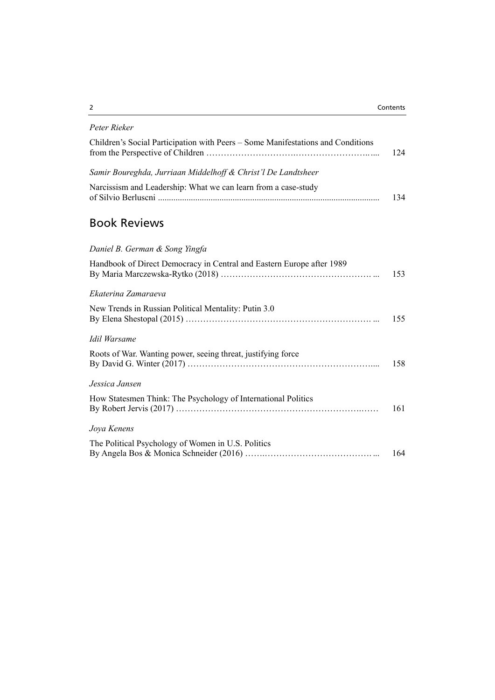### *Peter Rieker*

| Children's Social Participation with Peers – Some Manifestations and Conditions | 124 |
|---------------------------------------------------------------------------------|-----|
| Samir Boureghda, Jurriaan Middelhoff & Christ'l De Landtsheer                   |     |
| Narcissism and Leadership: What we can learn from a case-study                  | 134 |

## Book Reviews

### *Daniel B. German & Song Yingfa*

| Handbook of Direct Democracy in Central and Eastern Europe after 1989 | 153 |
|-----------------------------------------------------------------------|-----|
| Ekaterina Zamaraeva                                                   |     |
| New Trends in Russian Political Mentality: Putin 3.0                  | 155 |
| Idil Warsame                                                          |     |
| Roots of War. Wanting power, seeing threat, justifying force          | 158 |
| Jessica Jansen                                                        |     |
| How Statesmen Think: The Psychology of International Politics         | 161 |
| Joya Kenens                                                           |     |
| The Political Psychology of Women in U.S. Politics                    | 164 |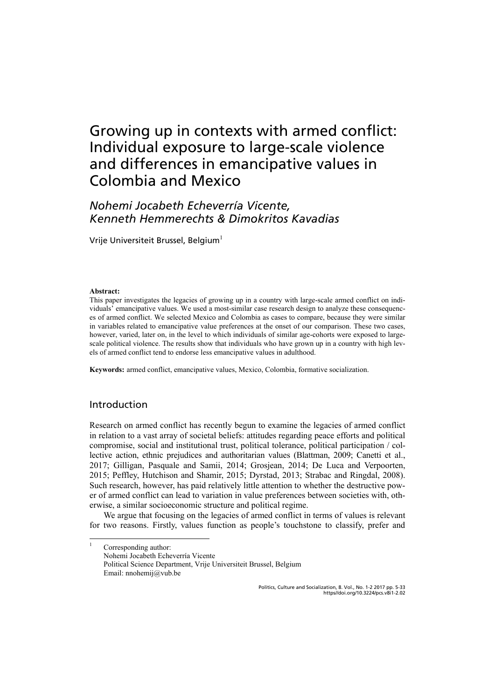## Growing up in contexts with armed conflict: Individual exposure to large-scale violence and differences in emancipative values in Colombia and Mexico

## *Nohemi Jocabeth Echeverría Vicente, Kenneth Hemmerechts & Dimokritos Kavadias*

Vrije Universiteit Brussel, Belgium $^{\rm l}$ 

#### **Abstract:**

This paper investigates the legacies of growing up in a country with large-scale armed conflict on individuals' emancipative values. We used a most-similar case research design to analyze these consequences of armed conflict. We selected Mexico and Colombia as cases to compare, because they were similar in variables related to emancipative value preferences at the onset of our comparison. These two cases, however, varied, later on, in the level to which individuals of similar age-cohorts were exposed to largescale political violence. The results show that individuals who have grown up in a country with high levels of armed conflict tend to endorse less emancipative values in adulthood.

**Keywords:** armed conflict, emancipative values, Mexico, Colombia, formative socialization.

### Introduction

|<br>|

Research on armed conflict has recently begun to examine the legacies of armed conflict in relation to a vast array of societal beliefs: attitudes regarding peace efforts and political compromise, social and institutional trust, political tolerance, political participation / collective action, ethnic prejudices and authoritarian values (Blattman, 2009; Canetti et al., 2017; Gilligan, Pasquale and Samii, 2014; Grosjean, 2014; De Luca and Verpoorten, 2015; Peffley, Hutchison and Shamir, 2015; Dyrstad, 2013; Strabac and Ringdal, 2008). Such research, however, has paid relatively little attention to whether the destructive power of armed conflict can lead to variation in value preferences between societies with, otherwise, a similar socioeconomic structure and political regime.

We argue that focusing on the legacies of armed conflict in terms of values is relevant for two reasons. Firstly, values function as people's touchstone to classify, prefer and

 Corresponding author: Nohemi Jocabeth Echeverría Vicente Political Science Department, Vrije Universiteit Brussel, Belgium Email: nnohemij@vub.be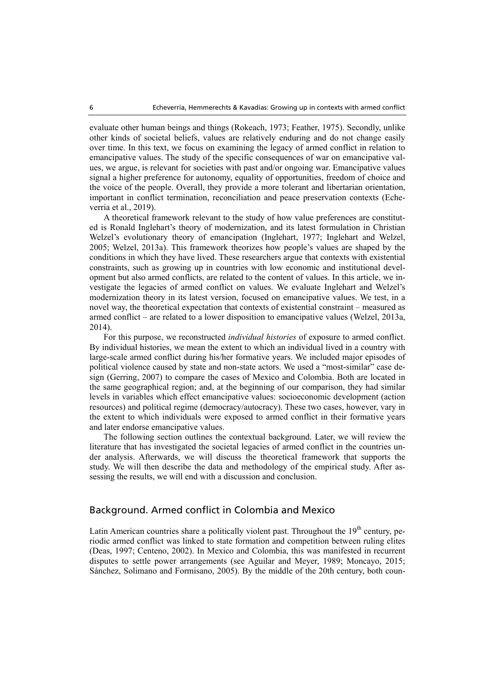evaluate other human beings and things (Rokeach, 1973; Feather, 1975). Secondly, unlike other kinds of societal beliefs, values are relatively enduring and do not change easily over time. In this text, we focus on examining the legacy of armed conflict in relation to emancipative values. The study of the specific consequences of war on emancipative values, we argue, is relevant for societies with past and/or ongoing war. Emancipative values signal a higher preference for autonomy, equality of opportunities, freedom of choice and the voice of the people. Overall, they provide a more tolerant and libertarian orientation, important in conflict termination, reconciliation and peace preservation contexts (Echeverria et al., 2019).

A theoretical framework relevant to the study of how value preferences are constituted is Ronald Inglehart's theory of modernization, and its latest formulation in Christian Welzel's evolutionary theory of emancipation (Inglehart, 1977; Inglehart and Welzel, 2005; Welzel, 2013a). This framework theorizes how people's values are shaped by the conditions in which they have lived. These researchers argue that contexts with existential constraints, such as growing up in countries with low economic and institutional development but also armed conflicts, are related to the content of values. In this article, we investigate the legacies of armed conflict on values. We evaluate Inglehart and Welzel's modernization theory in its latest version, focused on emancipative values. We test, in a novel way, the theoretical expectation that contexts of existential constraint – measured as armed conflict – are related to a lower disposition to emancipative values (Welzel, 2013a, 2014).

For this purpose, we reconstructed *individual histories* of exposure to armed conflict. By individual histories, we mean the extent to which an individual lived in a country with large-scale armed conflict during his/her formative years. We included major episodes of political violence caused by state and non-state actors. We used a "most-similar" case design (Gerring, 2007) to compare the cases of Mexico and Colombia. Both are located in the same geographical region; and, at the beginning of our comparison, they had similar levels in variables which effect emancipative values: socioeconomic development (action resources) and political regime (democracy/autocracy). These two cases, however, vary in the extent to which individuals were exposed to armed conflict in their formative years and later endorse emancipative values.

The following section outlines the contextual background. Later, we will review the literature that has investigated the societal legacies of armed conflict in the countries under analysis. Afterwards, we will discuss the theoretical framework that supports the study. We will then describe the data and methodology of the empirical study. After assessing the results, we will end with a discussion and conclusion.

### Background. Armed conflict in Colombia and Mexico

Latin American countries share a politically violent past. Throughout the  $19<sup>th</sup>$  century, periodic armed conflict was linked to state formation and competition between ruling elites (Deas, 1997; Centeno, 2002). In Mexico and Colombia, this was manifested in recurrent disputes to settle power arrangements (see Aguilar and Meyer, 1989; Moncayo, 2015; Sánchez, Solimano and Formisano, 2005). By the middle of the 20th century, both coun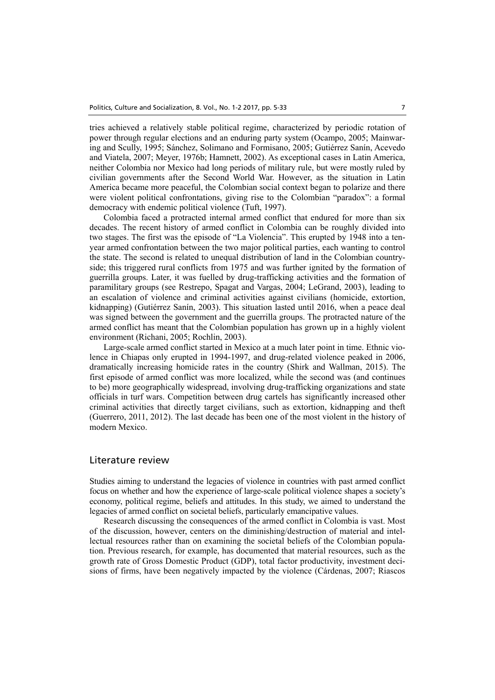tries achieved a relatively stable political regime, characterized by periodic rotation of power through regular elections and an enduring party system (Ocampo, 2005; Mainwaring and Scully, 1995; Sánchez, Solimano and Formisano, 2005; Gutiérrez Sanín, Acevedo and Viatela, 2007; Meyer, 1976b; Hamnett, 2002). As exceptional cases in Latin America, neither Colombia nor Mexico had long periods of military rule, but were mostly ruled by civilian governments after the Second World War. However, as the situation in Latin America became more peaceful, the Colombian social context began to polarize and there were violent political confrontations, giving rise to the Colombian "paradox": a formal democracy with endemic political violence (Tuft, 1997).

Colombia faced a protracted internal armed conflict that endured for more than six decades. The recent history of armed conflict in Colombia can be roughly divided into two stages. The first was the episode of "La Violencia". This erupted by 1948 into a tenyear armed confrontation between the two major political parties, each wanting to control the state. The second is related to unequal distribution of land in the Colombian countryside; this triggered rural conflicts from 1975 and was further ignited by the formation of guerrilla groups. Later, it was fuelled by drug-trafficking activities and the formation of paramilitary groups (see Restrepo, Spagat and Vargas, 2004; LeGrand, 2003), leading to an escalation of violence and criminal activities against civilians (homicide, extortion, kidnapping) (Gutiérrez Sanín, 2003). This situation lasted until 2016, when a peace deal was signed between the government and the guerrilla groups. The protracted nature of the armed conflict has meant that the Colombian population has grown up in a highly violent environment (Richani, 2005; Rochlin, 2003).

Large-scale armed conflict started in Mexico at a much later point in time. Ethnic violence in Chiapas only erupted in 1994-1997, and drug-related violence peaked in 2006, dramatically increasing homicide rates in the country (Shirk and Wallman, 2015). The first episode of armed conflict was more localized, while the second was (and continues to be) more geographically widespread, involving drug-trafficking organizations and state officials in turf wars. Competition between drug cartels has significantly increased other criminal activities that directly target civilians, such as extortion, kidnapping and theft (Guerrero, 2011, 2012). The last decade has been one of the most violent in the history of modern Mexico.

### Literature review

Studies aiming to understand the legacies of violence in countries with past armed conflict focus on whether and how the experience of large-scale political violence shapes a society's economy, political regime, beliefs and attitudes. In this study, we aimed to understand the legacies of armed conflict on societal beliefs, particularly emancipative values.

Research discussing the consequences of the armed conflict in Colombia is vast. Most of the discussion, however, centers on the diminishing/destruction of material and intellectual resources rather than on examining the societal beliefs of the Colombian population. Previous research, for example, has documented that material resources, such as the growth rate of Gross Domestic Product (GDP), total factor productivity, investment decisions of firms, have been negatively impacted by the violence (Cárdenas, 2007; Riascos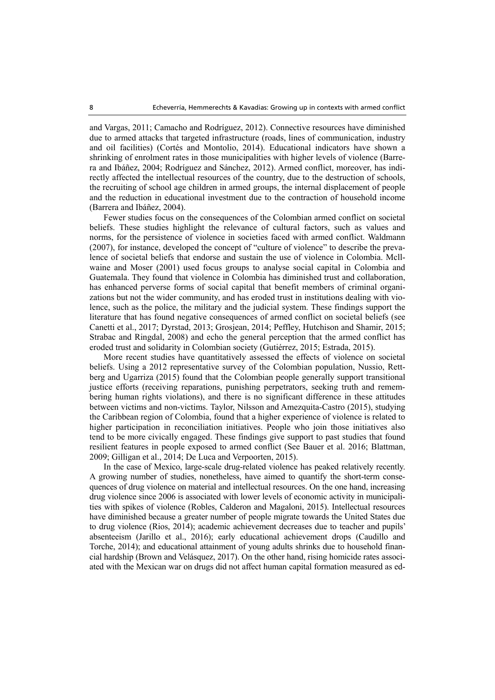and Vargas, 2011; Camacho and Rodríguez, 2012). Connective resources have diminished due to armed attacks that targeted infrastructure (roads, lines of communication, industry and oil facilities) (Cortés and Montolio, 2014). Educational indicators have shown a shrinking of enrolment rates in those municipalities with higher levels of violence (Barrera and Ibáñez, 2004; Rodríguez and Sánchez, 2012). Armed conflict, moreover, has indirectly affected the intellectual resources of the country, due to the destruction of schools, the recruiting of school age children in armed groups, the internal displacement of people and the reduction in educational investment due to the contraction of household income (Barrera and Ibáñez, 2004).

Fewer studies focus on the consequences of the Colombian armed conflict on societal beliefs. These studies highlight the relevance of cultural factors, such as values and norms, for the persistence of violence in societies faced with armed conflict. Waldmann (2007), for instance, developed the concept of "culture of violence" to describe the prevalence of societal beliefs that endorse and sustain the use of violence in Colombia. Mcllwaine and Moser (2001) used focus groups to analyse social capital in Colombia and Guatemala. They found that violence in Colombia has diminished trust and collaboration, has enhanced perverse forms of social capital that benefit members of criminal organizations but not the wider community, and has eroded trust in institutions dealing with violence, such as the police, the military and the judicial system. These findings support the literature that has found negative consequences of armed conflict on societal beliefs (see Canetti et al., 2017; Dyrstad, 2013; Grosjean, 2014; Peffley, Hutchison and Shamir, 2015; Strabac and Ringdal, 2008) and echo the general perception that the armed conflict has eroded trust and solidarity in Colombian society (Gutiérrez, 2015; Estrada, 2015).

More recent studies have quantitatively assessed the effects of violence on societal beliefs. Using a 2012 representative survey of the Colombian population, Nussio, Rettberg and Ugarriza (2015) found that the Colombian people generally support transitional justice efforts (receiving reparations, punishing perpetrators, seeking truth and remembering human rights violations), and there is no significant difference in these attitudes between victims and non-victims. Taylor, Nilsson and Amezquita-Castro (2015), studying the Caribbean region of Colombia, found that a higher experience of violence is related to higher participation in reconciliation initiatives. People who join those initiatives also tend to be more civically engaged. These findings give support to past studies that found resilient features in people exposed to armed conflict (See Bauer et al. 2016; Blattman, 2009; Gilligan et al., 2014; De Luca and Verpoorten, 2015).

In the case of Mexico, large-scale drug-related violence has peaked relatively recently. A growing number of studies, nonetheless, have aimed to quantify the short-term consequences of drug violence on material and intellectual resources. On the one hand, increasing drug violence since 2006 is associated with lower levels of economic activity in municipalities with spikes of violence (Robles, Calderon and Magaloni, 2015). Intellectual resources have diminished because a greater number of people migrate towards the United States due to drug violence (Rios, 2014); academic achievement decreases due to teacher and pupils' absenteeism (Jarillo et al., 2016); early educational achievement drops (Caudillo and Torche, 2014); and educational attainment of young adults shrinks due to household financial hardship (Brown and Velásquez, 2017). On the other hand, rising homicide rates associated with the Mexican war on drugs did not affect human capital formation measured as ed-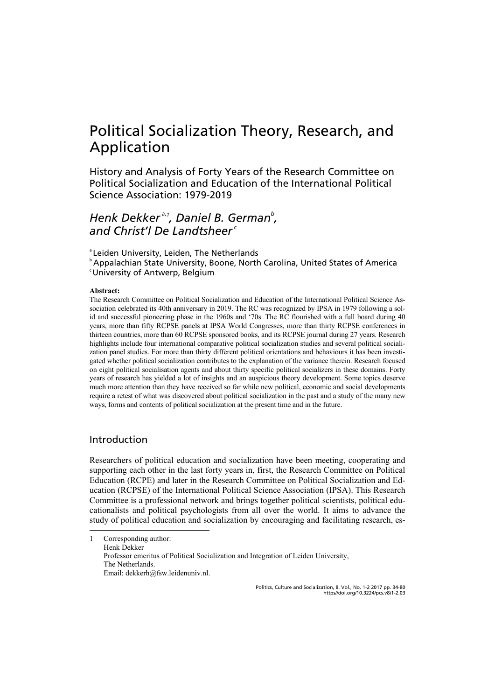## Political Socialization Theory, Research, and Application

History and Analysis of Forty Years of the Research Committee on Political Socialization and Education of the International Political Science Association: 1979-2019

## *Henk Dekker a,1 , Daniel B. Germanb , and Christ'l De Landtsheer<sup>c</sup>*

<sup>a</sup> Leiden University, Leiden, The Netherlands

<sup>b</sup> Appalachian State University, Boone, North Carolina, United States of America c University of Antwerp, Belgium

### **Abstract:**

The Research Committee on Political Socialization and Education of the International Political Science Association celebrated its 40th anniversary in 2019. The RC was recognized by IPSA in 1979 following a solid and successful pioneering phase in the 1960s and '70s. The RC flourished with a full board during 40 years, more than fifty RCPSE panels at IPSA World Congresses, more than thirty RCPSE conferences in thirteen countries, more than 60 RCPSE sponsored books, and its RCPSE journal during 27 years. Research highlights include four international comparative political socialization studies and several political socialization panel studies. For more than thirty different political orientations and behaviours it has been investigated whether political socialization contributes to the explanation of the variance therein. Research focused on eight political socialisation agents and about thirty specific political socializers in these domains. Forty years of research has yielded a lot of insights and an auspicious theory development. Some topics deserve much more attention than they have received so far while new political, economic and social developments require a retest of what was discovered about political socialization in the past and a study of the many new ways, forms and contents of political socialization at the present time and in the future.

### Introduction

j

Researchers of political education and socialization have been meeting, cooperating and supporting each other in the last forty years in, first, the Research Committee on Political Education (RCPE) and later in the Research Committee on Political Socialization and Education (RCPSE) of the International Political Science Association (IPSA). This Research Committee is a professional network and brings together political scientists, political educationalists and political psychologists from all over the world. It aims to advance the study of political education and socialization by encouraging and facilitating research, es-

1 Corresponding author: Henk Dekker Professor emeritus of Political Socialization and Integration of Leiden University, The Netherlands. Email: dekkerh@fsw.leidenuniv.nl.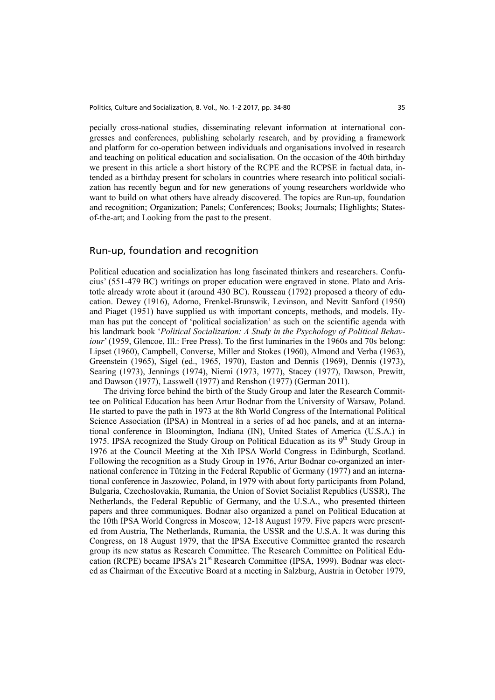pecially cross-national studies, disseminating relevant information at international congresses and conferences, publishing scholarly research, and by providing a framework and platform for co-operation between individuals and organisations involved in research and teaching on political education and socialisation. On the occasion of the 40th birthday we present in this article a short history of the RCPE and the RCPSE in factual data, intended as a birthday present for scholars in countries where research into political socialization has recently begun and for new generations of young researchers worldwide who want to build on what others have already discovered. The topics are Run-up, foundation and recognition; Organization; Panels; Conferences; Books; Journals; Highlights; Statesof-the-art; and Looking from the past to the present.

### Run-up, foundation and recognition

Political education and socialization has long fascinated thinkers and researchers. Confucius' (551-479 BC) writings on proper education were engraved in stone. Plato and Aristotle already wrote about it (around 430 BC). Rousseau (1792) proposed a theory of education. Dewey (1916), Adorno, Frenkel-Brunswik, Levinson, and Nevitt Sanford (1950) and Piaget (1951) have supplied us with important concepts, methods, and models. Hyman has put the concept of 'political socialization' as such on the scientific agenda with his landmark book '*Political Socialization: A Study in the Psychology of Political Behaviour*' (1959, Glencoe, Ill.: Free Press). To the first luminaries in the 1960s and 70s belong: Lipset (1960), Campbell, Converse, Miller and Stokes (1960), Almond and Verba (1963), Greenstein (1965), Sigel (ed., 1965, 1970), Easton and Dennis (1969), Dennis (1973), Searing (1973), Jennings (1974), Niemi (1973, 1977), Stacey (1977), Dawson, Prewitt, and Dawson (1977), Lasswell (1977) and Renshon (1977) (German 2011).

The driving force behind the birth of the Study Group and later the Research Committee on Political Education has been Artur Bodnar from the University of Warsaw, Poland. He started to pave the path in 1973 at the 8th World Congress of the International Political Science Association (IPSA) in Montreal in a series of ad hoc panels, and at an international conference in Bloomington, Indiana (IN), United States of America (U.S.A.) in 1975. IPSA recognized the Study Group on Political Education as its  $9<sup>th</sup>$  Study Group in 1976 at the Council Meeting at the Xth IPSA World Congress in Edinburgh, Scotland. Following the recognition as a Study Group in 1976, Artur Bodnar co-organized an international conference in Tützing in the Federal Republic of Germany (1977) and an international conference in Jaszowiec, Poland, in 1979 with about forty participants from Poland, Bulgaria, Czechoslovakia, Rumania, the Union of Soviet Socialist Republics (USSR), The Netherlands, the Federal Republic of Germany, and the U.S.A., who presented thirteen papers and three communiques. Bodnar also organized a panel on Political Education at the 10th IPSA World Congress in Moscow, 12-18 August 1979. Five papers were presented from Austria, The Netherlands, Rumania, the USSR and the U.S.A. It was during this Congress, on 18 August 1979, that the IPSA Executive Committee granted the research group its new status as Research Committee. The Research Committee on Political Education (RCPE) became IPSA's  $21<sup>st</sup>$  Research Committee (IPSA, 1999). Bodnar was elected as Chairman of the Executive Board at a meeting in Salzburg, Austria in October 1979,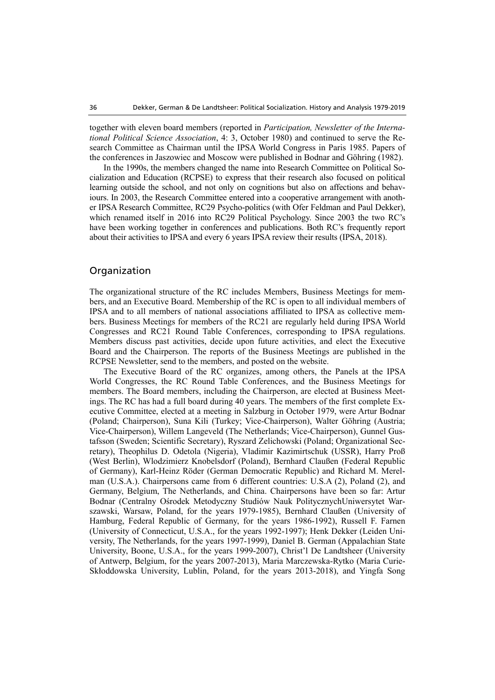together with eleven board members (reported in *Participation, Newsletter of the International Political Science Association*, 4: 3, October 1980) and continued to serve the Research Committee as Chairman until the IPSA World Congress in Paris 1985. Papers of the conferences in Jaszowiec and Moscow were published in Bodnar and Göhring (1982).

In the 1990s, the members changed the name into Research Committee on Political Socialization and Education (RCPSE) to express that their research also focused on political learning outside the school, and not only on cognitions but also on affections and behaviours. In 2003, the Research Committee entered into a cooperative arrangement with another IPSA Research Committee, RC29 Psycho-politics (with Ofer Feldman and Paul Dekker), which renamed itself in 2016 into RC29 Political Psychology. Since 2003 the two RC's have been working together in conferences and publications. Both RC's frequently report about their activities to IPSA and every 6 years IPSA review their results (IPSA, 2018).

### Organization

The organizational structure of the RC includes Members, Business Meetings for members, and an Executive Board. Membership of the RC is open to all individual members of IPSA and to all members of national associations affiliated to IPSA as collective members. Business Meetings for members of the RC21 are regularly held during IPSA World Congresses and RC21 Round Table Conferences, corresponding to IPSA regulations. Members discuss past activities, decide upon future activities, and elect the Executive Board and the Chairperson. The reports of the Business Meetings are published in the RCPSE Newsletter, send to the members, and posted on the website.

The Executive Board of the RC organizes, among others, the Panels at the IPSA World Congresses, the RC Round Table Conferences, and the Business Meetings for members. The Board members, including the Chairperson, are elected at Business Meetings. The RC has had a full board during 40 years. The members of the first complete Executive Committee, elected at a meeting in Salzburg in October 1979, were Artur Bodnar (Poland; Chairperson), Suna Kili (Turkey; Vice-Chairperson), Walter Göhring (Austria; Vice-Chairperson), Willem Langeveld (The Netherlands; Vice-Chairperson), Gunnel Gustafsson (Sweden; Scientific Secretary), Ryszard Zelichowski (Poland; Organizational Secretary), Theophilus D. Odetola (Nigeria), Vladimir Kazimirtschuk (USSR), Harry Proß (West Berlin), Wlodzimierz Knobelsdorf (Poland), Bernhard Claußen (Federal Republic of Germany), Karl-Heinz Röder (German Democratic Republic) and Richard M. Merelman (U.S.A.). Chairpersons came from 6 different countries: U.S.A (2), Poland (2), and Germany, Belgium, The Netherlands, and China. Chairpersons have been so far: Artur Bodnar (Centralny Ośrodek Metodyczny Studiów Nauk PolitycznychUniwersytet Warszawski, Warsaw, Poland, for the years 1979-1985), Bernhard Claußen (University of Hamburg, Federal Republic of Germany, for the years 1986-1992), Russell F. Farnen (University of Connecticut, U.S.A., for the years 1992-1997); Henk Dekker (Leiden University, The Netherlands, for the years 1997-1999), Daniel B. German (Appalachian State University, Boone, U.S.A., for the years 1999-2007), Christ'l De Landtsheer (University of Antwerp, Belgium, for the years 2007-2013), Maria Marczewska-Rytko (Maria Curie-Skłoddowska University, Lublin, Poland, for the years 2013-2018), and Yingfa Song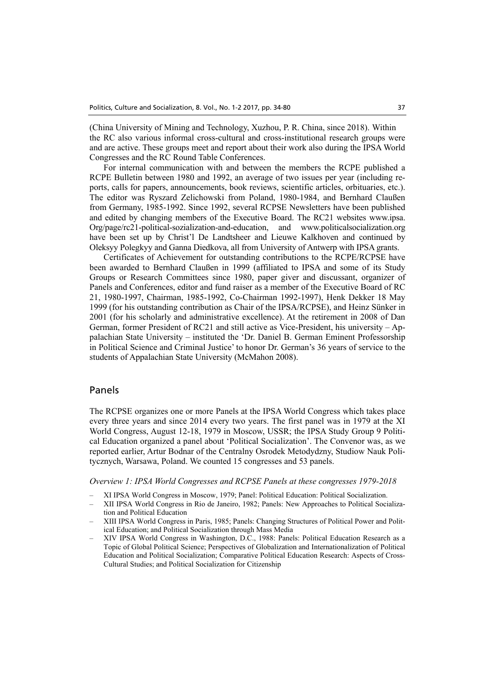(China University of Mining and Technology, Xuzhou, P. R. China, since 2018). Within the RC also various informal cross-cultural and cross-institutional research groups were and are active. These groups meet and report about their work also during the IPSA World Congresses and the RC Round Table Conferences.

For internal communication with and between the members the RCPE published a RCPE Bulletin between 1980 and 1992, an average of two issues per year (including reports, calls for papers, announcements, book reviews, scientific articles, orbituaries, etc.). The editor was Ryszard Zelichowski from Poland, 1980-1984, and Bernhard Claußen from Germany, 1985-1992. Since 1992, several RCPSE Newsletters have been published and edited by changing members of the Executive Board. The RC21 websites www.ipsa. Org/page/rc21-political-sozialization-and-education, and www.politicalsocialization.org have been set up by Christ'l De Landtsheer and Lieuwe Kalkhoven and continued by Oleksyy Polegkyy and Ganna Diedkova, all from University of Antwerp with IPSA grants.

Certificates of Achievement for outstanding contributions to the RCPE/RCPSE have been awarded to Bernhard Claußen in 1999 (affiliated to IPSA and some of its Study Groups or Research Committees since 1980, paper giver and discussant, organizer of Panels and Conferences, editor and fund raiser as a member of the Executive Board of RC 21, 1980-1997, Chairman, 1985-1992, Co-Chairman 1992-1997), Henk Dekker 18 May 1999 (for his outstanding contribution as Chair of the IPSA/RCPSE), and Heinz Sünker in 2001 (for his scholarly and administrative excellence). At the retirement in 2008 of Dan German, former President of RC21 and still active as Vice-President, his university – Appalachian State University – instituted the 'Dr. Daniel B. German Eminent Professorship in Political Science and Criminal Justice' to honor Dr. German's 36 years of service to the students of Appalachian State University (McMahon 2008).

#### Panels

The RCPSE organizes one or more Panels at the IPSA World Congress which takes place every three years and since 2014 every two years. The first panel was in 1979 at the XI World Congress, August 12-18, 1979 in Moscow, USSR; the IPSA Study Group 9 Political Education organized a panel about 'Political Socialization'. The Convenor was, as we reported earlier, Artur Bodnar of the Centralny Osrodek Metodydzny, Studiow Nauk Politycznych, Warsawa, Poland. We counted 15 congresses and 53 panels.

*Overview 1: IPSA World Congresses and RCPSE Panels at these congresses 1979-2018* 

- ‒ XI IPSA World Congress in Moscow, 1979; Panel: Political Education: Political Socialization.
- ‒ XII IPSA World Congress in Rio de Janeiro, 1982; Panels: New Approaches to Political Socialization and Political Education
- ‒ XIII IPSA World Congress in Paris, 1985; Panels: Changing Structures of Political Power and Political Education; and Political Socialization through Mass Media
- ‒ XIV IPSA World Congress in Washington, D.C., 1988: Panels: Political Education Research as a Topic of Global Political Science; Perspectives of Globalization and Internationalization of Political Education and Political Socialization; Comparative Political Education Research: Aspects of Cross-Cultural Studies; and Political Socialization for Citizenship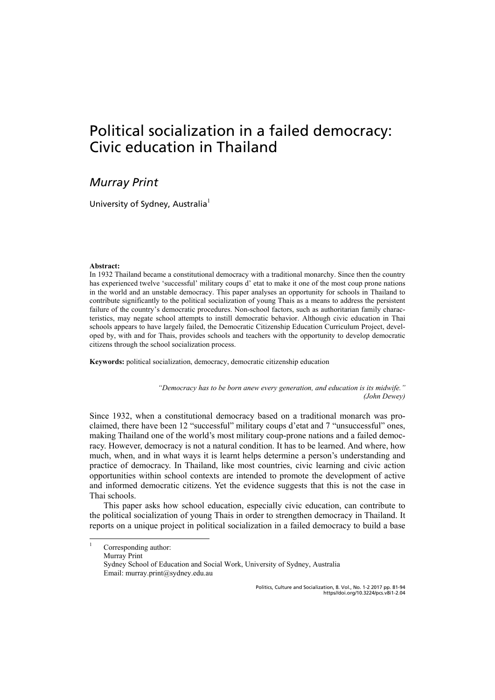## Political socialization in a failed democracy: Civic education in Thailand

## *Murray Print*

University of Sydney, Australia<sup>1</sup>

#### **Abstract:**

|<br>|

In 1932 Thailand became a constitutional democracy with a traditional monarchy. Since then the country has experienced twelve 'successful' military coups d' etat to make it one of the most coup prone nations in the world and an unstable democracy. This paper analyses an opportunity for schools in Thailand to contribute significantly to the political socialization of young Thais as a means to address the persistent failure of the country's democratic procedures. Non-school factors, such as authoritarian family characteristics, may negate school attempts to instill democratic behavior. Although civic education in Thai schools appears to have largely failed, the Democratic Citizenship Education Curriculum Project, developed by, with and for Thais, provides schools and teachers with the opportunity to develop democratic citizens through the school socialization process.

**Keywords:** political socialization, democracy, democratic citizenship education

*"Democracy has to be born anew every generation, and education is its midwife." (John Dewey)* 

Since 1932, when a constitutional democracy based on a traditional monarch was proclaimed, there have been 12 "successful" military coups d'etat and 7 "unsuccessful" ones, making Thailand one of the world's most military coup-prone nations and a failed democracy. However, democracy is not a natural condition. It has to be learned. And where, how much, when, and in what ways it is learnt helps determine a person's understanding and practice of democracy. In Thailand, like most countries, civic learning and civic action opportunities within school contexts are intended to promote the development of active and informed democratic citizens. Yet the evidence suggests that this is not the case in Thai schools.

This paper asks how school education, especially civic education, can contribute to the political socialization of young Thais in order to strengthen democracy in Thailand. It reports on a unique project in political socialization in a failed democracy to build a base

Corresponding author: Murray Print Sydney School of Education and Social Work, University of Sydney, Australia Email: murray.print@sydney.edu.au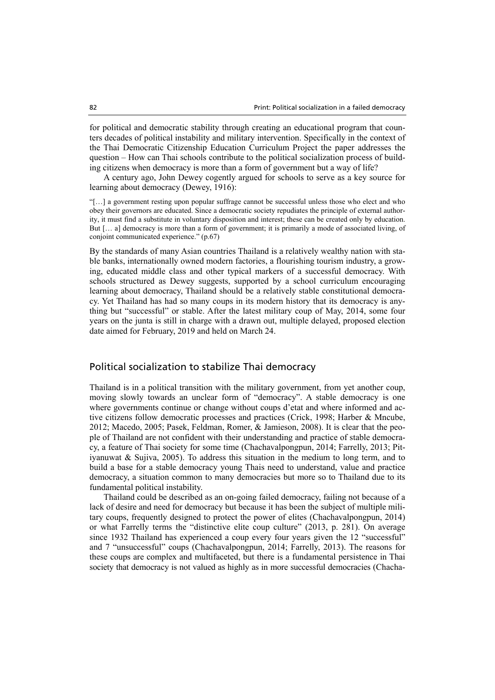for political and democratic stability through creating an educational program that counters decades of political instability and military intervention. Specifically in the context of the Thai Democratic Citizenship Education Curriculum Project the paper addresses the question – How can Thai schools contribute to the political socialization process of building citizens when democracy is more than a form of government but a way of life?

A century ago, John Dewey cogently argued for schools to serve as a key source for learning about democracy (Dewey, 1916):

"[…] a government resting upon popular suffrage cannot be successful unless those who elect and who obey their governors are educated. Since a democratic society repudiates the principle of external authority, it must find a substitute in voluntary disposition and interest; these can be created only by education. But [… a] democracy is more than a form of government; it is primarily a mode of associated living, of conjoint communicated experience." (p.67)

By the standards of many Asian countries Thailand is a relatively wealthy nation with stable banks, internationally owned modern factories, a flourishing tourism industry, a growing, educated middle class and other typical markers of a successful democracy. With schools structured as Dewey suggests, supported by a school curriculum encouraging learning about democracy, Thailand should be a relatively stable constitutional democracy. Yet Thailand has had so many coups in its modern history that its democracy is anything but "successful" or stable. After the latest military coup of May, 2014, some four years on the junta is still in charge with a drawn out, multiple delayed, proposed election date aimed for February, 2019 and held on March 24.

### Political socialization to stabilize Thai democracy

Thailand is in a political transition with the military government, from yet another coup, moving slowly towards an unclear form of "democracy". A stable democracy is one where governments continue or change without coups d'etat and where informed and active citizens follow democratic processes and practices (Crick, 1998; Harber & Mncube, 2012; Macedo, 2005; Pasek, Feldman, Romer, & Jamieson, 2008). It is clear that the people of Thailand are not confident with their understanding and practice of stable democracy, a feature of Thai society for some time (Chachavalpongpun, 2014; Farrelly, 2013; Pitiyanuwat & Sujiva, 2005). To address this situation in the medium to long term, and to build a base for a stable democracy young Thais need to understand, value and practice democracy, a situation common to many democracies but more so to Thailand due to its fundamental political instability.

Thailand could be described as an on-going failed democracy, failing not because of a lack of desire and need for democracy but because it has been the subject of multiple military coups, frequently designed to protect the power of elites (Chachavalpongpun, 2014) or what Farrelly terms the "distinctive elite coup culture" (2013, p. 281). On average since 1932 Thailand has experienced a coup every four years given the 12 "successful" and 7 "unsuccessful" coups (Chachavalpongpun, 2014; Farrelly, 2013). The reasons for these coups are complex and multifaceted, but there is a fundamental persistence in Thai society that democracy is not valued as highly as in more successful democracies (Chacha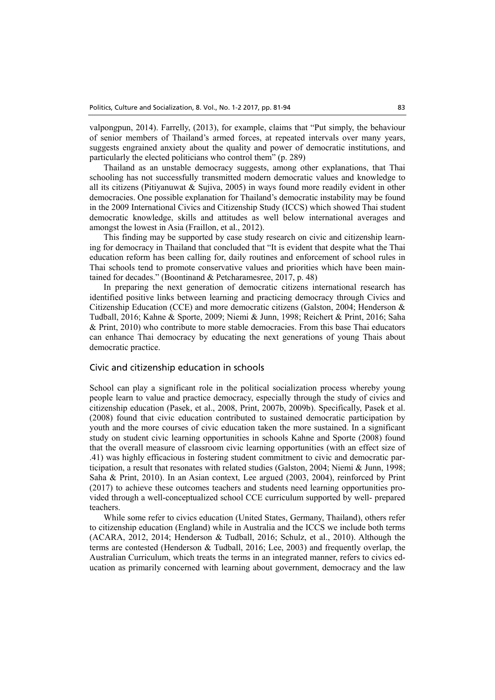valpongpun, 2014). Farrelly, (2013), for example, claims that "Put simply, the behaviour of senior members of Thailand's armed forces, at repeated intervals over many years, suggests engrained anxiety about the quality and power of democratic institutions, and particularly the elected politicians who control them" (p. 289)

Thailand as an unstable democracy suggests, among other explanations, that Thai schooling has not successfully transmitted modern democratic values and knowledge to all its citizens (Pitiyanuwat & Sujiva, 2005) in ways found more readily evident in other democracies. One possible explanation for Thailand's democratic instability may be found in the 2009 International Civics and Citizenship Study (ICCS) which showed Thai student democratic knowledge, skills and attitudes as well below international averages and amongst the lowest in Asia (Fraillon, et al., 2012).

This finding may be supported by case study research on civic and citizenship learning for democracy in Thailand that concluded that "It is evident that despite what the Thai education reform has been calling for, daily routines and enforcement of school rules in Thai schools tend to promote conservative values and priorities which have been maintained for decades." (Boontinand & Petcharamesree, 2017, p. 48)

In preparing the next generation of democratic citizens international research has identified positive links between learning and practicing democracy through Civics and Citizenship Education (CCE) and more democratic citizens (Galston, 2004; Henderson & Tudball, 2016; Kahne & Sporte, 2009; Niemi & Junn, 1998; Reichert & Print, 2016; Saha & Print, 2010) who contribute to more stable democracies. From this base Thai educators can enhance Thai democracy by educating the next generations of young Thais about democratic practice.

#### Civic and citizenship education in schools

School can play a significant role in the political socialization process whereby young people learn to value and practice democracy, especially through the study of civics and citizenship education (Pasek, et al., 2008, Print, 2007b, 2009b). Specifically, Pasek et al. (2008) found that civic education contributed to sustained democratic participation by youth and the more courses of civic education taken the more sustained. In a significant study on student civic learning opportunities in schools Kahne and Sporte (2008) found that the overall measure of classroom civic learning opportunities (with an effect size of .41) was highly efficacious in fostering student commitment to civic and democratic participation, a result that resonates with related studies (Galston, 2004; Niemi & Junn, 1998; Saha & Print, 2010). In an Asian context, Lee argued (2003, 2004), reinforced by Print (2017) to achieve these outcomes teachers and students need learning opportunities provided through a well-conceptualized school CCE curriculum supported by well- prepared teachers.

While some refer to civics education (United States, Germany, Thailand), others refer to citizenship education (England) while in Australia and the ICCS we include both terms (ACARA, 2012, 2014; Henderson & Tudball, 2016; Schulz, et al., 2010). Although the terms are contested (Henderson & Tudball, 2016; Lee, 2003) and frequently overlap, the Australian Curriculum, which treats the terms in an integrated manner, refers to civics education as primarily concerned with learning about government, democracy and the law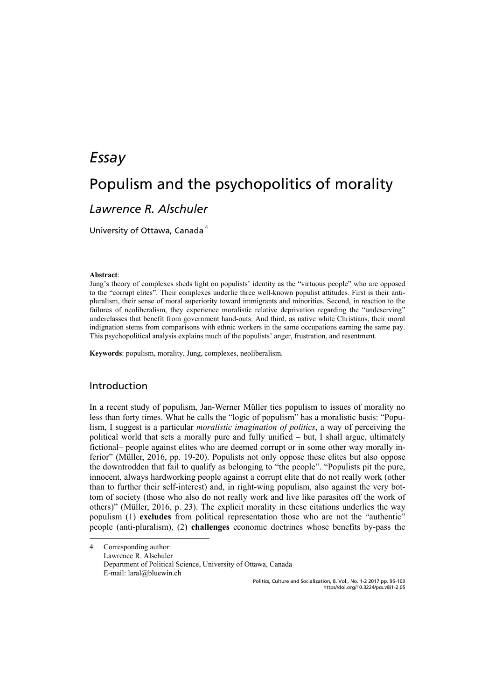## *Essay*

## Populism and the psychopolitics of morality

### *Lawrence R. Alschuler*

University of Ottawa, Canada<sup>4</sup>

#### **Abstract**:

Jung's theory of complexes sheds light on populists' identity as the "virtuous people" who are opposed to the "corrupt elites". Their complexes underlie three well-known populist attitudes. First is their antipluralism, their sense of moral superiority toward immigrants and minorities. Second, in reaction to the failures of neoliberalism, they experience moralistic relative deprivation regarding the "undeserving" underclasses that benefit from government hand-outs. And third, as native white Christians, their moral indignation stems from comparisons with ethnic workers in the same occupations earning the same pay. This psychopolitical analysis explains much of the populists' anger, frustration, and resentment.

**Keywords**: populism, morality, Jung, complexes, neoliberalism.

### Introduction

j

In a recent study of populism, Jan-Werner Müller ties populism to issues of morality no less than forty times. What he calls the "logic of populism" has a moralistic basis: "Populism, I suggest is a particular *moralistic imagination of politics*, a way of perceiving the political world that sets a morally pure and fully unified  $-$  but, I shall argue, ultimately fictional— people against elites who are deemed corrupt or in some other way morally inferior" (Müller, 2016, pp. 19-20). Populists not only oppose these elites but also oppose the downtrodden that fail to qualify as belonging to "the people". "Populists pit the pure, innocent, always hardworking people against a corrupt elite that do not really work (other than to further their self-interest) and, in right-wing populism, also against the very bottom of society (those who also do not really work and live like parasites off the work of others)" (Müller, 2016, p. 23). The explicit morality in these citations underlies the way populism (1) **excludes** from political representation those who are not the "authentic" people (anti-pluralism), (2) **challenges** economic doctrines whose benefits by-pass the

4 Corresponding author: Lawrence R. Alschuler Department of Political Science, University of Ottawa, Canada E-mail: laral@bluewin.ch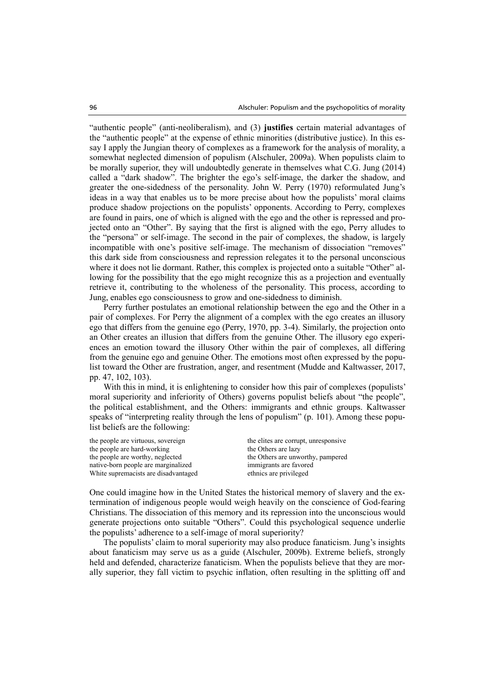"authentic people" (anti-neoliberalism), and (3) **justifies** certain material advantages of the "authentic people" at the expense of ethnic minorities (distributive justice). In this essay I apply the Jungian theory of complexes as a framework for the analysis of morality, a somewhat neglected dimension of populism (Alschuler, 2009a). When populists claim to be morally superior, they will undoubtedly generate in themselves what C.G. Jung (2014) called a "dark shadow". The brighter the ego's self-image, the darker the shadow, and greater the one-sidedness of the personality. John W. Perry (1970) reformulated Jung's ideas in a way that enables us to be more precise about how the populists' moral claims produce shadow projections on the populists' opponents. According to Perry, complexes are found in pairs, one of which is aligned with the ego and the other is repressed and projected onto an "Other". By saying that the first is aligned with the ego, Perry alludes to the "persona" or self-image. The second in the pair of complexes, the shadow, is largely incompatible with one's positive self-image. The mechanism of dissociation "removes" this dark side from consciousness and repression relegates it to the personal unconscious where it does not lie dormant. Rather, this complex is projected onto a suitable "Other" allowing for the possibility that the ego might recognize this as a projection and eventually retrieve it, contributing to the wholeness of the personality. This process, according to Jung, enables ego consciousness to grow and one-sidedness to diminish.

Perry further postulates an emotional relationship between the ego and the Other in a pair of complexes. For Perry the alignment of a complex with the ego creates an illusory ego that differs from the genuine ego (Perry, 1970, pp. 3-4). Similarly, the projection onto an Other creates an illusion that differs from the genuine Other. The illusory ego experiences an emotion toward the illusory Other within the pair of complexes, all differing from the genuine ego and genuine Other. The emotions most often expressed by the populist toward the Other are frustration, anger, and resentment (Mudde and Kaltwasser, 2017, pp. 47, 102, 103).

With this in mind, it is enlightening to consider how this pair of complexes (populists' moral superiority and inferiority of Others) governs populist beliefs about "the people", the political establishment, and the Others: immigrants and ethnic groups. Kaltwasser speaks of "interpreting reality through the lens of populism" (p. 101). Among these populist beliefs are the following:

| the people are virtuous, sovereign   | the elites are corrupt, unresponsive |
|--------------------------------------|--------------------------------------|
| the people are hard-working          | the Others are lazy                  |
| the people are worthy, neglected     | the Others are unworthy, pampered    |
| native-born people are marginalized  | immigrants are favored               |
| White supremacists are disadvantaged | ethnics are privileged               |
|                                      |                                      |

One could imagine how in the United States the historical memory of slavery and the extermination of indigenous people would weigh heavily on the conscience of God-fearing Christians. The dissociation of this memory and its repression into the unconscious would generate projections onto suitable "Others". Could this psychological sequence underlie the populists' adherence to a self-image of moral superiority?

The populists' claim to moral superiority may also produce fanaticism. Jung's insights about fanaticism may serve us as a guide (Alschuler, 2009b). Extreme beliefs, strongly held and defended, characterize fanaticism. When the populists believe that they are morally superior, they fall victim to psychic inflation, often resulting in the splitting off and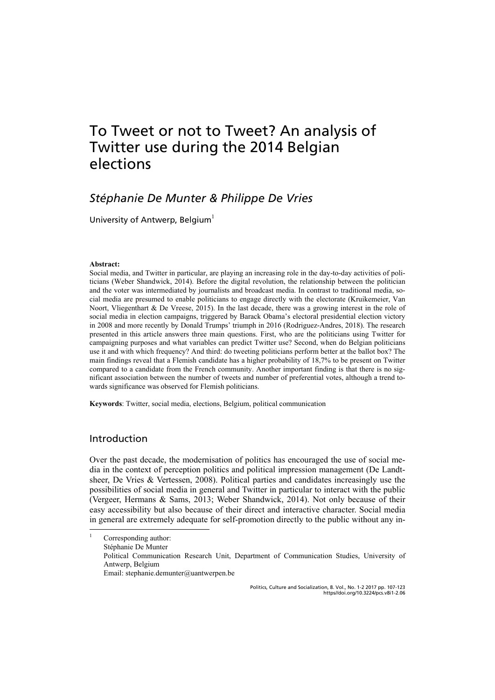## To Tweet or not to Tweet? An analysis of Twitter use during the 2014 Belgian elections

### *Stéphanie De Munter & Philippe De Vries*

University of Antwerp, Belgium<sup>1</sup>

#### **Abstract:**

Social media, and Twitter in particular, are playing an increasing role in the day-to-day activities of politicians (Weber Shandwick, 2014). Before the digital revolution, the relationship between the politician and the voter was intermediated by journalists and broadcast media. In contrast to traditional media, social media are presumed to enable politicians to engage directly with the electorate (Kruikemeier, Van Noort, Vliegenthart & De Vreese, 2015). In the last decade, there was a growing interest in the role of social media in election campaigns, triggered by Barack Obama's electoral presidential election victory in 2008 and more recently by Donald Trumps' triumph in 2016 (Rodriguez-Andres, 2018). The research presented in this article answers three main questions. First, who are the politicians using Twitter for campaigning purposes and what variables can predict Twitter use? Second, when do Belgian politicians use it and with which frequency? And third: do tweeting politicians perform better at the ballot box? The main findings reveal that a Flemish candidate has a higher probability of 18,7% to be present on Twitter compared to a candidate from the French community. Another important finding is that there is no significant association between the number of tweets and number of preferential votes, although a trend towards significance was observed for Flemish politicians.

**Keywords**: Twitter, social media, elections, Belgium, political communication

### Introduction

j

Over the past decade, the modernisation of politics has encouraged the use of social media in the context of perception politics and political impression management (De Landtsheer, De Vries & Vertessen, 2008). Political parties and candidates increasingly use the possibilities of social media in general and Twitter in particular to interact with the public (Vergeer, Hermans & Sams, 2013; Weber Shandwick, 2014). Not only because of their easy accessibility but also because of their direct and interactive character. Social media in general are extremely adequate for self-promotion directly to the public without any in-

<sup>1</sup> Corresponding author: Stéphanie De Munter Political Communication Research Unit, Department of Communication Studies, University of Antwerp, Belgium Email: stephanie.demunter@uantwerpen.be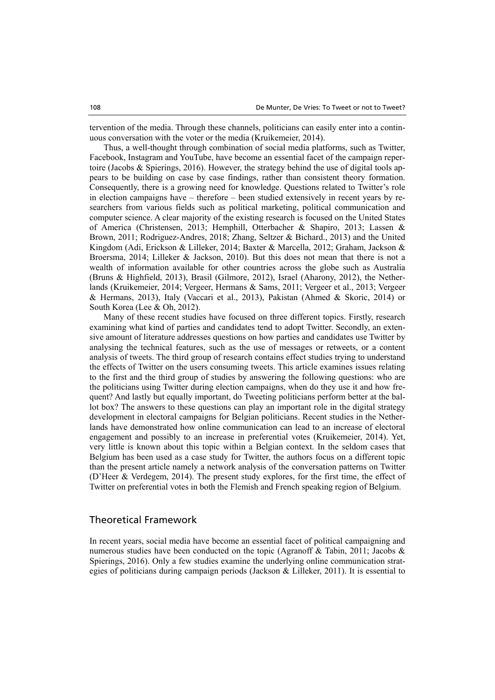tervention of the media. Through these channels, politicians can easily enter into a continuous conversation with the voter or the media (Kruikemeier, 2014).

Thus, a well-thought through combination of social media platforms, such as Twitter, Facebook, Instagram and YouTube, have become an essential facet of the campaign repertoire (Jacobs & Spierings, 2016). However, the strategy behind the use of digital tools appears to be building on case by case findings, rather than consistent theory formation. Consequently, there is a growing need for knowledge. Questions related to Twitter's role in election campaigns have – therefore – been studied extensively in recent years by researchers from various fields such as political marketing, political communication and computer science. A clear majority of the existing research is focused on the United States of America (Christensen, 2013; Hemphill, Otterbacher & Shapiro, 2013; Lassen & Brown, 2011; Rodriguez-Andres, 2018; Zhang, Seltzer & Bichard., 2013) and the United Kingdom (Adi, Erickson & Lilleker, 2014; Baxter & Marcella, 2012; Graham, Jackson & Broersma, 2014; Lilleker & Jackson, 2010). But this does not mean that there is not a wealth of information available for other countries across the globe such as Australia (Bruns & Highfield, 2013), Brasil (Gilmore, 2012), Israel (Aharony, 2012), the Netherlands (Kruikemeier, 2014; Vergeer, Hermans & Sams, 2011; Vergeer et al., 2013; Vergeer & Hermans, 2013), Italy (Vaccari et al., 2013), Pakistan (Ahmed & Skoric, 2014) or South Korea (Lee & Oh, 2012).

Many of these recent studies have focused on three different topics. Firstly, research examining what kind of parties and candidates tend to adopt Twitter. Secondly, an extensive amount of literature addresses questions on how parties and candidates use Twitter by analysing the technical features, such as the use of messages or retweets, or a content analysis of tweets. The third group of research contains effect studies trying to understand the effects of Twitter on the users consuming tweets. This article examines issues relating to the first and the third group of studies by answering the following questions: who are the politicians using Twitter during election campaigns, when do they use it and how frequent? And lastly but equally important, do Tweeting politicians perform better at the ballot box? The answers to these questions can play an important role in the digital strategy development in electoral campaigns for Belgian politicians. Recent studies in the Netherlands have demonstrated how online communication can lead to an increase of electoral engagement and possibly to an increase in preferential votes (Kruikemeier, 2014). Yet, very little is known about this topic within a Belgian context. In the seldom cases that Belgium has been used as a case study for Twitter, the authors focus on a different topic than the present article namely a network analysis of the conversation patterns on Twitter (D'Heer & Verdegem, 2014). The present study explores, for the first time, the effect of Twitter on preferential votes in both the Flemish and French speaking region of Belgium.

### Theoretical Framework

In recent years, social media have become an essential facet of political campaigning and numerous studies have been conducted on the topic (Agranoff & Tabin, 2011; Jacobs & Spierings, 2016). Only a few studies examine the underlying online communication strategies of politicians during campaign periods (Jackson & Lilleker, 2011). It is essential to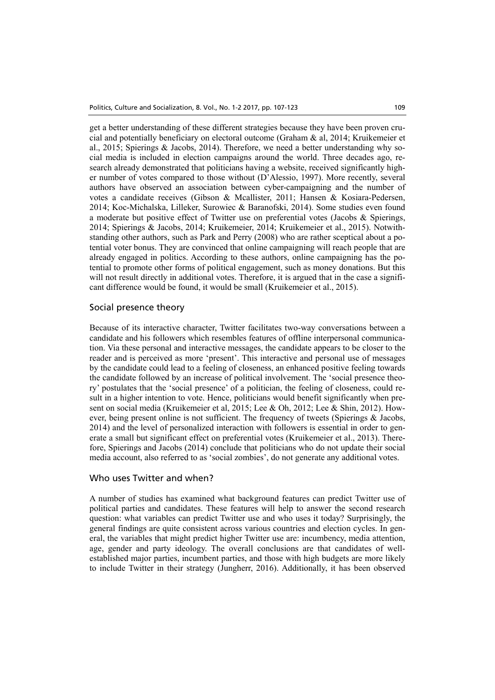get a better understanding of these different strategies because they have been proven crucial and potentially beneficiary on electoral outcome (Graham & al, 2014; Kruikemeier et al., 2015; Spierings & Jacobs, 2014). Therefore, we need a better understanding why social media is included in election campaigns around the world. Three decades ago, research already demonstrated that politicians having a website, received significantly higher number of votes compared to those without (D'Alessio, 1997). More recently, several authors have observed an association between cyber-campaigning and the number of votes a candidate receives (Gibson & Mcallister, 2011; Hansen & Kosiara-Pedersen, 2014; Koc-Michalska, Lilleker, Surowiec & Baranofski, 2014). Some studies even found a moderate but positive effect of Twitter use on preferential votes (Jacobs & Spierings, 2014; Spierings & Jacobs, 2014; Kruikemeier, 2014; Kruikemeier et al., 2015). Notwithstanding other authors, such as Park and Perry (2008) who are rather sceptical about a potential voter bonus. They are convinced that online campaigning will reach people that are already engaged in politics. According to these authors, online campaigning has the potential to promote other forms of political engagement, such as money donations. But this will not result directly in additional votes. Therefore, it is argued that in the case a significant difference would be found, it would be small (Kruikemeier et al., 2015).

#### Social presence theory

Because of its interactive character, Twitter facilitates two-way conversations between a candidate and his followers which resembles features of offline interpersonal communication. Via these personal and interactive messages, the candidate appears to be closer to the reader and is perceived as more 'present'. This interactive and personal use of messages by the candidate could lead to a feeling of closeness, an enhanced positive feeling towards the candidate followed by an increase of political involvement. The 'social presence theory' postulates that the 'social presence' of a politician, the feeling of closeness, could result in a higher intention to vote. Hence, politicians would benefit significantly when present on social media (Kruikemeier et al, 2015; Lee & Oh, 2012; Lee & Shin, 2012). However, being present online is not sufficient. The frequency of tweets (Spierings & Jacobs, 2014) and the level of personalized interaction with followers is essential in order to generate a small but significant effect on preferential votes (Kruikemeier et al., 2013). Therefore, Spierings and Jacobs (2014) conclude that politicians who do not update their social media account, also referred to as 'social zombies', do not generate any additional votes.

### Who uses Twitter and when?

A number of studies has examined what background features can predict Twitter use of political parties and candidates. These features will help to answer the second research question: what variables can predict Twitter use and who uses it today? Surprisingly, the general findings are quite consistent across various countries and election cycles. In general, the variables that might predict higher Twitter use are: incumbency, media attention, age, gender and party ideology. The overall conclusions are that candidates of wellestablished major parties, incumbent parties, and those with high budgets are more likely to include Twitter in their strategy (Jungherr, 2016). Additionally, it has been observed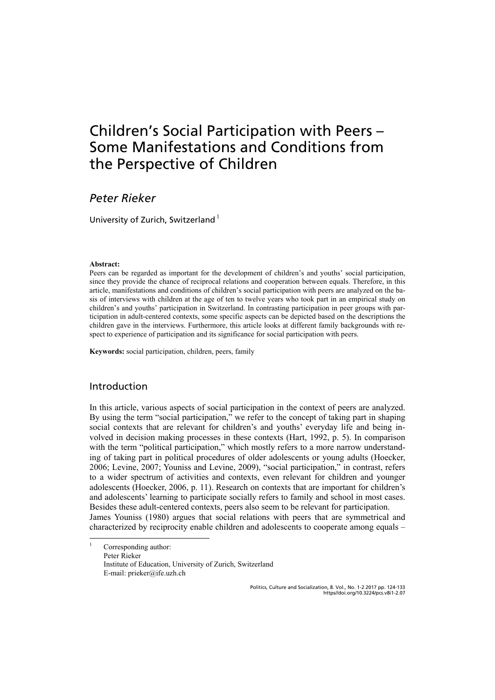## Children's Social Participation with Peers – Some Manifestations and Conditions from the Perspective of Children

### *Peter Rieker*

University of Zurich, Switzerland<sup>1</sup>

#### **Abstract:**

Peers can be regarded as important for the development of children's and youths' social participation, since they provide the chance of reciprocal relations and cooperation between equals. Therefore, in this article, manifestations and conditions of children's social participation with peers are analyzed on the basis of interviews with children at the age of ten to twelve years who took part in an empirical study on children's and youths' participation in Switzerland. In contrasting participation in peer groups with participation in adult-centered contexts, some specific aspects can be depicted based on the descriptions the children gave in the interviews. Furthermore, this article looks at different family backgrounds with respect to experience of participation and its significance for social participation with peers.

**Keywords:** social participation, children, peers, family

### Introduction

In this article, various aspects of social participation in the context of peers are analyzed. By using the term "social participation," we refer to the concept of taking part in shaping social contexts that are relevant for children's and youths' everyday life and being involved in decision making processes in these contexts (Hart, 1992, p. 5). In comparison with the term "political participation," which mostly refers to a more narrow understanding of taking part in political procedures of older adolescents or young adults (Hoecker, 2006; Levine, 2007; Youniss and Levine, 2009), "social participation," in contrast, refers to a wider spectrum of activities and contexts, even relevant for children and younger adolescents (Hoecker, 2006, p. 11). Research on contexts that are important for children's and adolescents' learning to participate socially refers to family and school in most cases. Besides these adult-centered contexts, peers also seem to be relevant for participation. James Youniss (1980) argues that social relations with peers that are symmetrical and characterized by reciprocity enable children and adolescents to cooperate among equals –

|<br>| Corresponding author: Peter Rieker Institute of Education, University of Zurich, Switzerland E-mail: prieker@ife.uzh.ch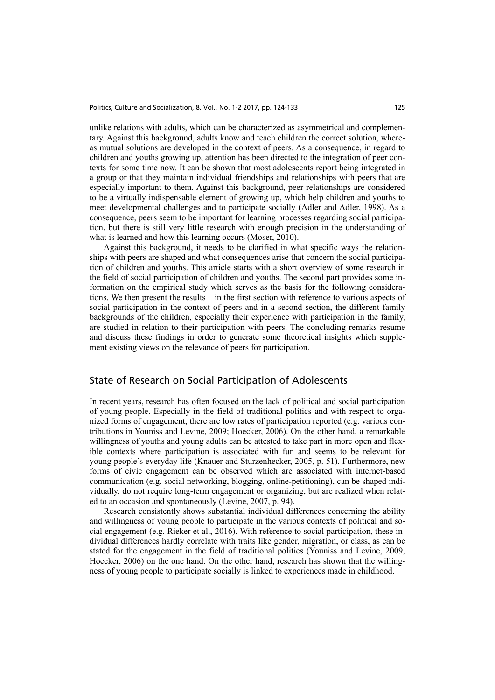unlike relations with adults, which can be characterized as asymmetrical and complementary. Against this background, adults know and teach children the correct solution, whereas mutual solutions are developed in the context of peers. As a consequence, in regard to children and youths growing up, attention has been directed to the integration of peer contexts for some time now. It can be shown that most adolescents report being integrated in a group or that they maintain individual friendships and relationships with peers that are especially important to them. Against this background, peer relationships are considered to be a virtually indispensable element of growing up, which help children and youths to meet developmental challenges and to participate socially (Adler and Adler, 1998). As a consequence, peers seem to be important for learning processes regarding social participation, but there is still very little research with enough precision in the understanding of what is learned and how this learning occurs (Moser, 2010).

Against this background, it needs to be clarified in what specific ways the relationships with peers are shaped and what consequences arise that concern the social participation of children and youths. This article starts with a short overview of some research in the field of social participation of children and youths. The second part provides some information on the empirical study which serves as the basis for the following considerations. We then present the results – in the first section with reference to various aspects of social participation in the context of peers and in a second section, the different family backgrounds of the children, especially their experience with participation in the family, are studied in relation to their participation with peers. The concluding remarks resume and discuss these findings in order to generate some theoretical insights which supplement existing views on the relevance of peers for participation.

### State of Research on Social Participation of Adolescents

In recent years, research has often focused on the lack of political and social participation of young people. Especially in the field of traditional politics and with respect to organized forms of engagement, there are low rates of participation reported (e.g. various contributions in Youniss and Levine, 2009; Hoecker, 2006). On the other hand, a remarkable willingness of youths and young adults can be attested to take part in more open and flexible contexts where participation is associated with fun and seems to be relevant for young people's everyday life (Knauer and Sturzenhecker, 2005, p. 51). Furthermore, new forms of civic engagement can be observed which are associated with internet-based communication (e.g. social networking, blogging, online-petitioning), can be shaped individually, do not require long-term engagement or organizing, but are realized when related to an occasion and spontaneously (Levine, 2007, p. 94).

Research consistently shows substantial individual differences concerning the ability and willingness of young people to participate in the various contexts of political and social engagement (e.g. Rieker et al., 2016). With reference to social participation, these individual differences hardly correlate with traits like gender, migration, or class, as can be stated for the engagement in the field of traditional politics (Youniss and Levine, 2009; Hoecker, 2006) on the one hand. On the other hand, research has shown that the willingness of young people to participate socially is linked to experiences made in childhood.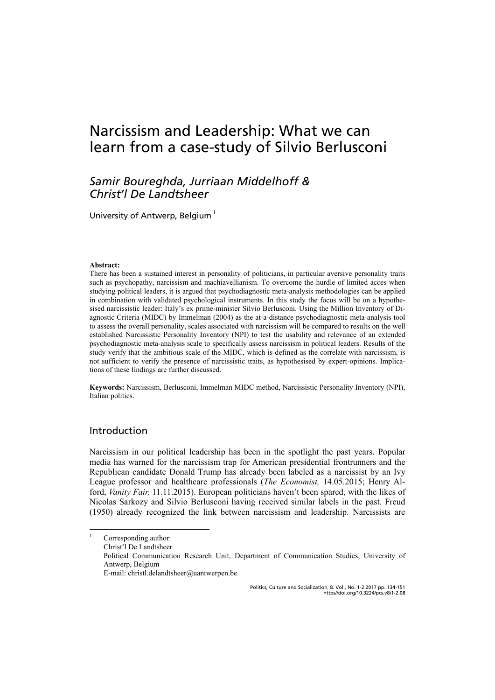## Narcissism and Leadership: What we can learn from a case-study of Silvio Berlusconi

### *Samir Boureghda, Jurriaan Middelhoff & Christ'l De Landtsheer*

University of Antwerp, Belgium $1$ 

#### **Abstract:**

There has been a sustained interest in personality of politicians, in particular aversive personality traits such as psychopathy, narcissism and machiavellianism. To overcome the hurdle of limited acces when studying political leaders, it is argued that psychodiagnostic meta-analysis methodologies can be applied in combination with validated psychological instruments. In this study the focus will be on a hypothesised narcissistic leader: Italy's ex prime-minister Silvio Berlusconi. Using the Million Inventory of Diagnostic Criteria (MIDC) by Immelman (2004) as the at-a-distance psychodiagnostic meta-analysis tool to assess the overall personality, scales associated with narcissism will be compared to results on the well established Narcissistic Personality Inventory (NPI) to test the usability and relevance of an extended psychodiagnostic meta-analysis scale to specifically assess narcissism in political leaders. Results of the study verify that the ambitious scale of the MIDC, which is defined as the correlate with narcissism, is not sufficient to verify the presence of narcissistic traits, as hypothesised by expert-opinions. Implications of these findings are further discussed.

**Keywords:** Narcissism, Berlusconi, Immelman MIDC method, Narcissistic Personality Inventory (NPI), Italian politics.

### Introduction

Narcissism in our political leadership has been in the spotlight the past years. Popular media has warned for the narcissism trap for American presidential frontrunners and the Republican candidate Donald Trump has already been labeled as a narcissist by an Ivy League professor and healthcare professionals (*The Economist,* 14.05.2015; Henry Alford, *Vanity Fair,* 11.11.2015). European politicians haven't been spared, with the likes of Nicolas Sarkozy and Silvio Berlusconi having received similar labels in the past. Freud (1950) already recognized the link between narcissism and leadership. Narcissists are

|<br>| Corresponding author: Christ'l De Landtsheer Political Communication Research Unit, Department of Communication Studies, University of Antwerp, Belgium E-mail: christl.delandtsheer@uantwerpen.be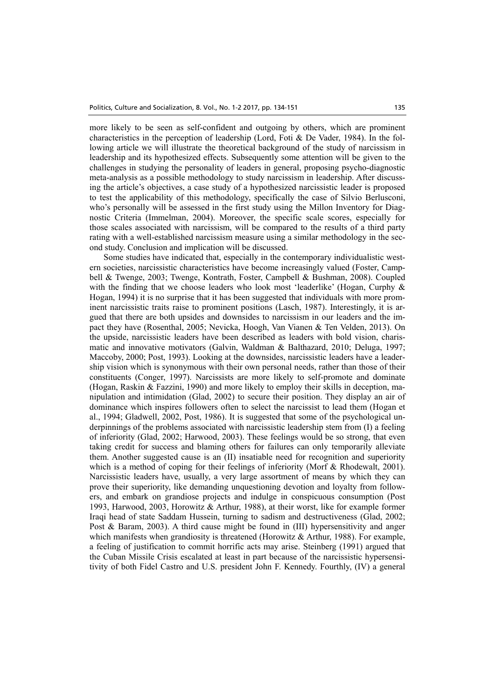more likely to be seen as self-confident and outgoing by others, which are prominent characteristics in the perception of leadership (Lord, Foti & De Vader, 1984). In the following article we will illustrate the theoretical background of the study of narcissism in leadership and its hypothesized effects. Subsequently some attention will be given to the challenges in studying the personality of leaders in general, proposing psycho-diagnostic meta-analysis as a possible methodology to study narcissism in leadership. After discussing the article's objectives, a case study of a hypothesized narcissistic leader is proposed to test the applicability of this methodology, specifically the case of Silvio Berlusconi, who's personally will be assessed in the first study using the Millon Inventory for Diagnostic Criteria (Immelman, 2004). Moreover, the specific scale scores, especially for those scales associated with narcissism, will be compared to the results of a third party rating with a well-established narcissism measure using a similar methodology in the second study. Conclusion and implication will be discussed.

Some studies have indicated that, especially in the contemporary individualistic western societies, narcissistic characteristics have become increasingly valued (Foster, Campbell & Twenge, 2003; Twenge, Kontrath, Foster, Campbell & Bushman, 2008). Coupled with the finding that we choose leaders who look most 'leaderlike' (Hogan, Curphy & Hogan, 1994) it is no surprise that it has been suggested that individuals with more prominent narcissistic traits raise to prominent positions (Lasch, 1987). Interestingly, it is argued that there are both upsides and downsides to narcissism in our leaders and the impact they have (Rosenthal, 2005; Nevicka, Hoogh, Van Vianen & Ten Velden, 2013). On the upside, narcissistic leaders have been described as leaders with bold vision, charismatic and innovative motivators (Galvin, Waldman & Balthazard, 2010; Deluga, 1997; Maccoby, 2000; Post, 1993). Looking at the downsides, narcissistic leaders have a leadership vision which is synonymous with their own personal needs, rather than those of their constituents (Conger, 1997). Narcissists are more likely to self-promote and dominate (Hogan, Raskin & Fazzini, 1990) and more likely to employ their skills in deception, manipulation and intimidation (Glad, 2002) to secure their position. They display an air of dominance which inspires followers often to select the narcissist to lead them (Hogan et al., 1994; Gladwell, 2002, Post, 1986). It is suggested that some of the psychological underpinnings of the problems associated with narcissistic leadership stem from (I) a feeling of inferiority (Glad, 2002; Harwood, 2003). These feelings would be so strong, that even taking credit for success and blaming others for failures can only temporarily alleviate them. Another suggested cause is an (II) insatiable need for recognition and superiority which is a method of coping for their feelings of inferiority (Morf & Rhodewalt, 2001). Narcissistic leaders have, usually, a very large assortment of means by which they can prove their superiority, like demanding unquestioning devotion and loyalty from followers, and embark on grandiose projects and indulge in conspicuous consumption (Post 1993, Harwood, 2003, Horowitz & Arthur, 1988), at their worst, like for example former Iraqi head of state Saddam Hussein, turning to sadism and destructiveness (Glad, 2002; Post & Baram, 2003). A third cause might be found in (III) hypersensitivity and anger which manifests when grandiosity is threatened (Horowitz & Arthur, 1988). For example, a feeling of justification to commit horrific acts may arise. Steinberg (1991) argued that the Cuban Missile Crisis escalated at least in part because of the narcissistic hypersensitivity of both Fidel Castro and U.S. president John F. Kennedy. Fourthly, (IV) a general